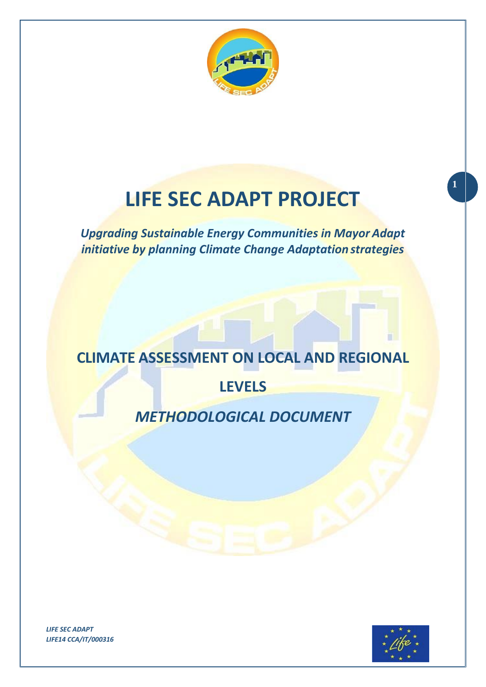

# **LIFE SEC ADAPT PROJECT**

*Upgrading Sustainable Energy Communities in Mayor Adapt initiative by planning Climate Change Adaptation strategies*

# **CLIMATE ASSESSMENT ON LOCAL AND REGIONAL**

**LEVELS**

## *METHODOLOGICAL DOCUMENT*

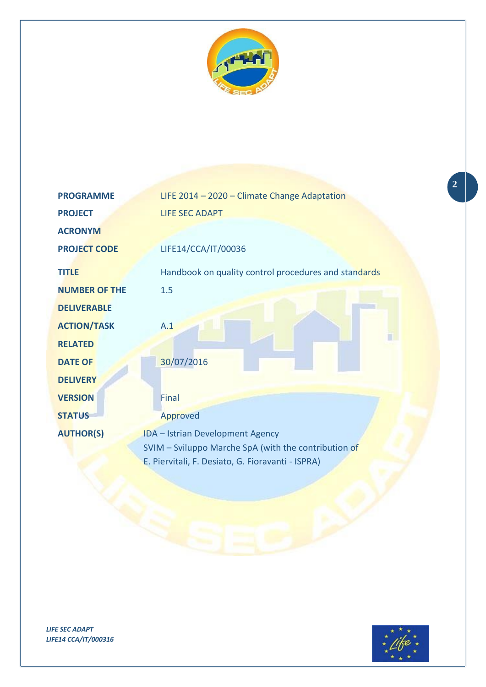

| <b>PROGRAMME</b>     | LIFE 2014 - 2020 - Climate Change Adaptation         |  |  |
|----------------------|------------------------------------------------------|--|--|
| <b>PROJECT</b>       | <b>LIFE SEC ADAPT</b>                                |  |  |
| <b>ACRONYM</b>       |                                                      |  |  |
| <b>PROJECT CODE</b>  | LIFE14/CCA/IT/00036                                  |  |  |
| <b>TITLE</b>         | Handbook on quality control procedures and standards |  |  |
| <b>NUMBER OF THE</b> | 1.5                                                  |  |  |
| <b>DELIVERABLE</b>   |                                                      |  |  |
| <b>ACTION/TASK</b>   | A.1                                                  |  |  |
| <b>RELATED</b>       |                                                      |  |  |
| <b>DATE OF</b>       | 30/07/2016                                           |  |  |
| <b>DELIVERY</b>      |                                                      |  |  |
| <b>VERSION</b>       | Final                                                |  |  |
| <b>STATUS</b>        | Approved                                             |  |  |
| <b>AUTHOR(S)</b>     | IDA - Istrian Development Agency                     |  |  |
|                      | SVIM - Sviluppo Marche SpA (with the contribution of |  |  |
|                      | E. Piervitali, F. Desiato, G. Fioravanti - ISPRA)    |  |  |
|                      |                                                      |  |  |



**2**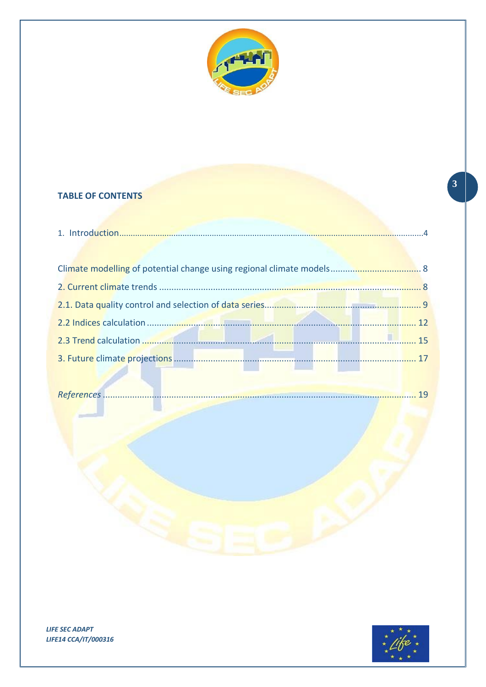

### **TABLE OF CONTENTS**



 $\left| \frac{3}{2} \right|$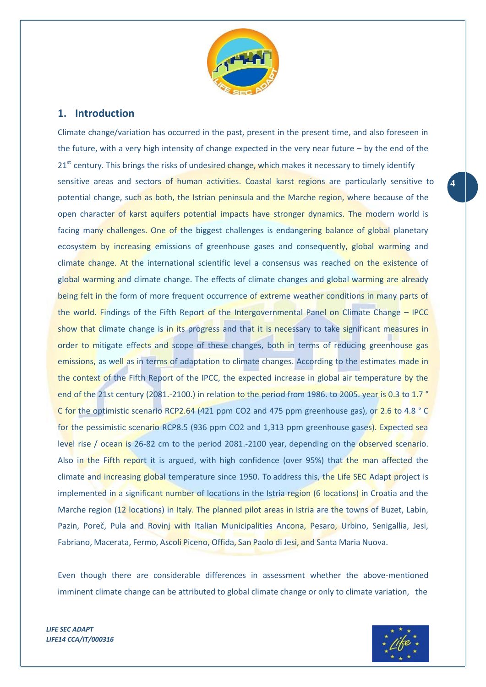

#### <span id="page-3-0"></span>**1. Introduction**

Climate change/variation has occurred in the past, present in the present time, and also foreseen in the future, with a very high intensity of change expected in the very near future – by the end of the 21<sup>st</sup> century. This brings the risks of undesired change, which makes it necessary to timely identify sensitive areas and sectors of human activities. Coastal karst regions are particularly sensitive to **4** potential change, such as both, the Istrian peninsula and the Marche region, where because of the open character of karst aquifers potential impacts have stronger dynamics. The modern world is facing many challenges. One of the biggest challenges is endangering balance of global planetary ecosystem by increasing emissions of greenhouse gases and consequently, global warming and climate change. At the international scientific level a consensus was reached on the existence of global warming and climate change. The effects of climate changes and global warming are already being felt in the form of more frequent occurrence of extreme weather conditions in many parts of the world. Findings of the Fifth Report of the Intergovernmental Panel on Climate Change – IPCC show that climate change is in its progress and that it is necessary to take significant measures in order to mitigate effects and scope of these changes, both in terms of reducing greenhouse gas emissions, as well as in terms of adaptation to climate changes. According to the estimates made in the context of the Fifth Report of the IPCC, the expected increase in global air temperature by the end of the 21st century (2081.-2100.) in relation to the period from 1986. to 2005. year is 0.3 to 1.7 ° C for the optimistic scenario RCP2.64 (421 ppm CO2 and 475 ppm greenhouse gas), or 2.6 to 4.8 ° C for the pessimistic scenario RCP8.5 (936 ppm CO2 and 1,313 ppm greenhouse gases). Expected sea level rise / ocean is 26-82 cm to the period 2081.-2100 year, depending on the observed scenario. Also in the Fifth report it is argued, with high confidence (over 95%) that the man affected the climate and increasing global temperature since 1950. To address this, the Life SEC Adapt project is implemented in a significant number of locations in the Istria region (6 locations) in Croatia and the Marche region (12 locations) in Italy. The planned pilot areas in Istria are the towns of Buzet, Labin, Pazin, Poreč, Pula and Rovinj with Italian Municipalities Ancona, Pesaro, Urbino, Senigallia, Jesi, Fabriano, Macerata, Fermo, Ascoli Piceno, Offida, San Paolo di Jesi, and Santa Maria Nuova.

Even though there are considerable differences in assessment whether the above-mentioned imminent climate change can be attributed to global climate change or only to climate variation, the

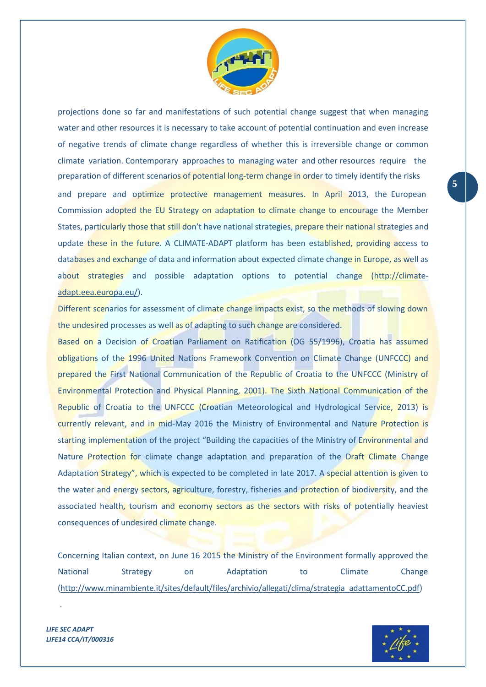

projections done so far and manifestations of such potential change suggest that when managing water and other resources it is necessary to take account of potential continuation and even increase of negative trends of climate change regardless of whether this is irreversible change or common climate variation. Contemporary approaches to managing water and other resources require the preparation of different scenarios of potential long-term change in order to timely identify the risks and prepare and optimize protective management measures. In April 2013, the European Commission adopted the EU Strategy on adaptation to climate change to encourage the Member States, particularly those that still don't have national strategies, prepare their national strategies and update these in the future. A CLIMATE-ADAPT platform has been established, providing access to databases and exchange of data and information about expected climate change in Europe, as well as about strategies and possible adaptation options to potential change [\(http://climate](http://climate-adapt.eea.europa.eu/)[adapt.eea.europa.eu/\)](http://climate-adapt.eea.europa.eu/).

Different scenarios for assessment of climate change impacts exist, so the methods of slowing down the undesired processes as well as of adapting to such change are considered.

Based on a Decision of Croatian Parliament on Ratification (OG 55/1996), Croatia has assumed obligations of the 1996 United Nations Framework Convention on Climate Change (UNFCCC) and prepared the First National Communication of the Republic of Croatia to the UNFCCC (Ministry of Environmental Protection and Physical Planning, 2001). The Sixth National Communication of the Republic of Croatia to the UNFCCC (Croatian Meteorological and Hydrological Service, 2013) is currently relevant, and in mid-May 2016 the Ministry of Environmental and Nature Protection is starting implementation of the project "Building the capacities of the Ministry of Environmental and Nature Protection for climate change adaptation and preparation of the Draft Climate Change Adaptation Strategy", which is expected to be completed in late 2017. A special attention is given to the water and energy sectors, agriculture, forestry, fisheries and protection of biodiversity, and the associated health, tourism and economy sectors as the sectors with risks of potentially heaviest consequences of undesired climate change.

Concerning Italian context, on June 16 2015 the Ministry of the Environment formally approved the National Strategy on Adaptation to Climate Change [\(http://www.minambiente.it/sites/default/files/archivio/allegati/clima/strategia\\_adattamentoCC.pdf\)](http://www.minambiente.it/sites/default/files/archivio/allegati/clima/strategia_adattamentoCC.pdf)



*LIFE SEC ADAPT LIFE14 CCA/IT/000316*

.

**5**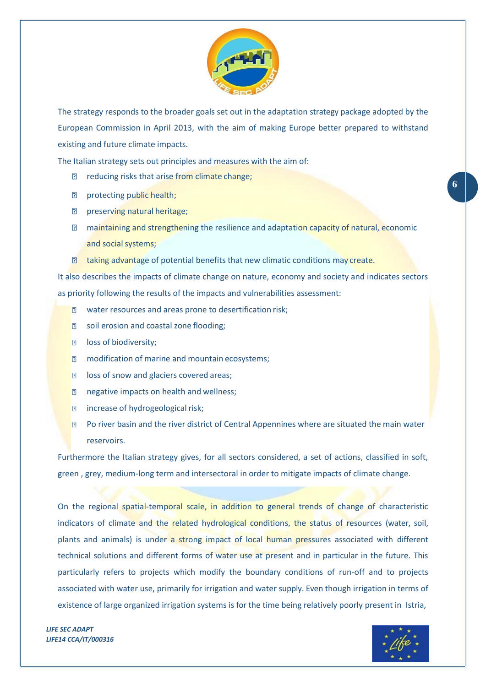

The strategy responds to the broader goals set out in the adaptation strategy package adopted by the European Commission in April 2013, with the aim of making Europe better prepared to withstand existing and future climate impacts.

The Italian strategy sets out principles and measures with the aim of:

- **Parisf reducing risks that arise from climate change;**
- **P** protecting public health;
- **Paraget Preserving natural heritage;**
- **2** maintaining and strengthening the resilience and adaptation capacity of natural, economic and social systems;
- **I** taking advantage of potential benefits that new climatic conditions may create.

It also describes the impacts of climate change on nature, economy and society and indicates sectors as priority following the results of the impacts and vulnerabilities assessment:

- $\boxed{2}$  water resources and areas prone to desertification risk;
- **a** soil erosion and coastal zone flooding;
- **n** loss of biodiversity;
- **n** modification of marine and mountain ecosystems;
- **a** loss of snow and glaciers covered areas;
- **negative impacts on health and wellness;**
- **increase of hydrogeological risk;**
- $\mathbb D$  Po river basin and the river district of Central Appennines where are situated the main water reservoirs.

Furthermore the Italian strategy gives, for all sectors considered, a set of actions, classified in soft, green , grey, medium-long term and intersectoral in order to mitigate impacts of climate change.

On the regional spatial-temporal scale, in addition to general trends of change of characteristic indicators of climate and the related hydrological conditions, the status of resources (water, soil, plants and animals) is under a strong impact of local human pressures associated with different technical solutions and different forms of water use at present and in particular in the future. This particularly refers to projects which modify the boundary conditions of run-off and to projects associated with water use, primarily for irrigation and water supply. Even though irrigation in terms of existence of large organized irrigation systems is for the time being relatively poorly present in Istria,

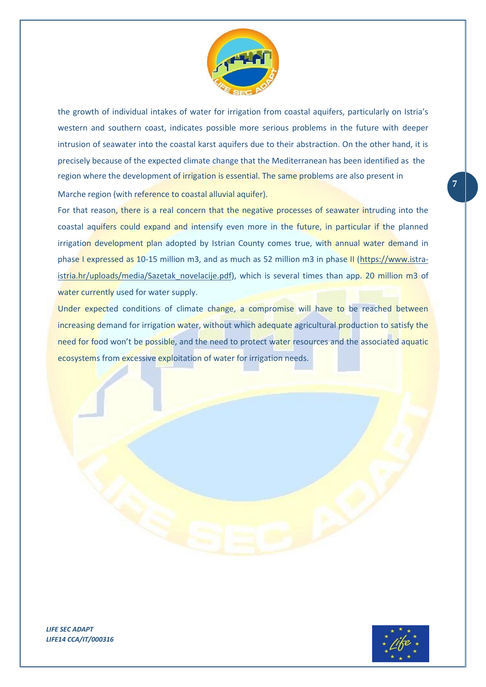

the growth of individual intakes of water for irrigation from coastal aquifers, particularly on Istria's western and southern coast, indicates possible more serious problems in the future with deeper intrusion of seawater into the coastal karst aquifers due to their abstraction. On the other hand, it is precisely because of the expected climate change that the Mediterranean has been identified as the region where the development of irrigation is essential. The same problems are also present in Marche region (with reference to coastal alluvial aquifer).

For that reason, there is a real concern that the negative processes of seawater intruding into the coastal aquifers could expand and intensify even more in the future, in particular if the planned irrigation development plan adopted by Istrian County comes true, with annual water demand in phase I expressed as 10-15 million m3, and as much as 52 million m3 in phase II [\(https://www.istra](https://www.istra-istria.hr/uploads/media/Sazetak_novelacije.pdf)[istria.hr/uploads/media/Sazetak\\_novelacije.pdf\)](https://www.istra-istria.hr/uploads/media/Sazetak_novelacije.pdf), which is several times than app. 20 million m3 of water currently used for water supply.

Under expected conditions of climate change, a compromise will have to be reached between increasing demand for irrigation water, without which adequate agricultural production to satisfy the need for food won't be possible, and the need to protect water resources and the associated aquatic ecosystems from excessive exploitation of water for irrigation needs.



**7**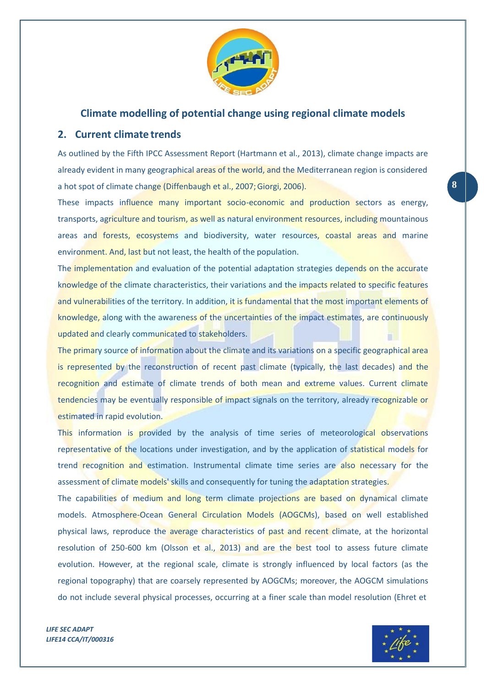

#### **Climate modelling of potential change using regional climate models**

#### <span id="page-7-1"></span><span id="page-7-0"></span>**2. Current climate trends**

As outlined by the Fifth IPCC Assessment Report (Hartmann et al., 2013), climate change impacts are already evident in many geographical areas of the world, and the Mediterranean region is considered a hot spot of climate change (Diffenbaugh et al., 2007;Giorgi, 2006). **8**

These impacts influence many important socio-economic and production sectors as energy, transports, agriculture and tourism, as well as natural environment resources, including mountainous areas and forests, ecosystems and biodiversity, water resources, coastal areas and marine environment. And, last but not least, the health of the population.

The implementation and evaluation of the potential adaptation strategies depends on the accurate knowledge of the climate characteristics, their variations and the impacts related to specific features and vulnerabilities of the territory. In addition, it is fundamental that the most important elements of knowledge, along with the awareness of the uncertainties of the impact estimates, are continuously updated and clearly communicated to stakeholders.

The primary source of information about the climate and its variations on a specific geographical area is represented by the reconstruction of recent past climate (typically, the last decades) and the recognition and estimate of climate trends of both mean and extreme values. Current climate tendencies may be eventually responsible of impact signals on the territory, already recognizable or estimated in rapid evolution.

This information is provided by the analysis of time series of meteorological observations representative of the locations under investigation, and by the application of statistical models for trend recognition and estimation. Instrumental climate time series are also necessary for the assessment of climate models' skills and consequently for tuning the adaptation strategies.

The capabilities of medium and long term climate projections are based on dynamical climate models. Atmosphere-Ocean General Circulation Models (AOGCMs), based on well established physical laws, reproduce the average characteristics of past and recent climate, at the horizontal resolution of 250-600 km (Olsson et al., 2013) and are the best tool to assess future climate evolution. However, at the regional scale, climate is strongly influenced by local factors (as the regional topography) that are coarsely represented by AOGCMs; moreover, the AOGCM simulations do not include several physical processes, occurring at a finer scale than model resolution (Ehret et

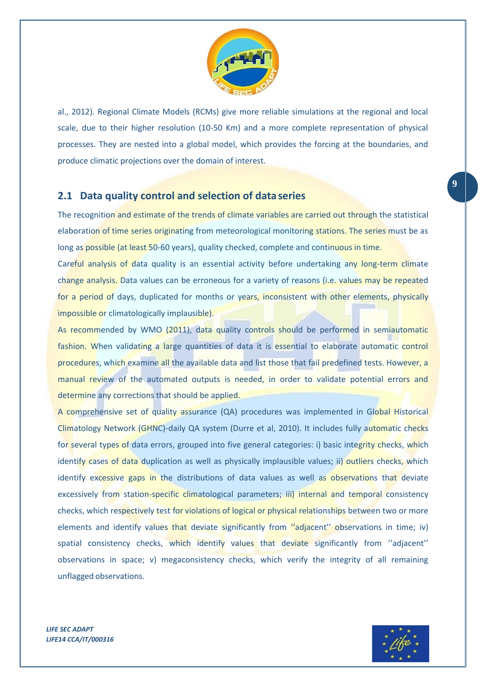

al., 2012). Regional Climate Models (RCMs) give more reliable simulations at the regional and local scale, due to their higher resolution (10-50 Km) and a more complete representation of physical processes. They are nested into a global model, which provides the forcing at the boundaries, and produce climatic projections over the domain of interest.

### <span id="page-8-0"></span>**2.1 Data quality control and selection of dataseries**

The recognition and estimate of the trends of climate variables are carried out through the statistical elaboration of time series originating from meteorological monitoring stations. The series must be as long as possible (at least 50-60 years), quality checked, complete and continuous in time.

Careful analysis of data quality is an essential activity before undertaking any long-term climate change analysis. Data values can be erroneous for a variety of reasons (i.e. values may be repeated for a period of days, duplicated for months or years, inconsistent with other elements, physically impossible or climatologically implausible).

As recommended by WMO (2011), data quality controls should be performed in semiautomatic fashion. When validating a large quantities of data it is essential to elaborate automatic control procedures, which examine all the available data and list those that fail predefined tests. However, a manual review of the automated outputs is needed, in order to validate potential errors and determine any corrections that should be applied.

A comprehensive set of quality assurance (QA) procedures was implemented in Global Historical Climatology Network (GHNC)-daily QA system (Durre et al, 2010). It includes fully automatic checks for several types of data errors, grouped into five general categories: i) basic integrity checks, which identify cases of data duplication as well as physically implausible values; ii) outliers checks, which identify excessive gaps in the distributions of data values as well as observations that deviate excessively from station-specific climatological parameters; iii) internal and temporal consistency checks, which respectively test for violations of logical or physical relationships between two or more elements and identify values that deviate significantly from "adjacent" observations in time; iv) spatial consistency checks, which identify values that deviate significantly from "adjacent" observations in space; v) megaconsistency checks, which verify the integrity of all remaining unflagged observations.

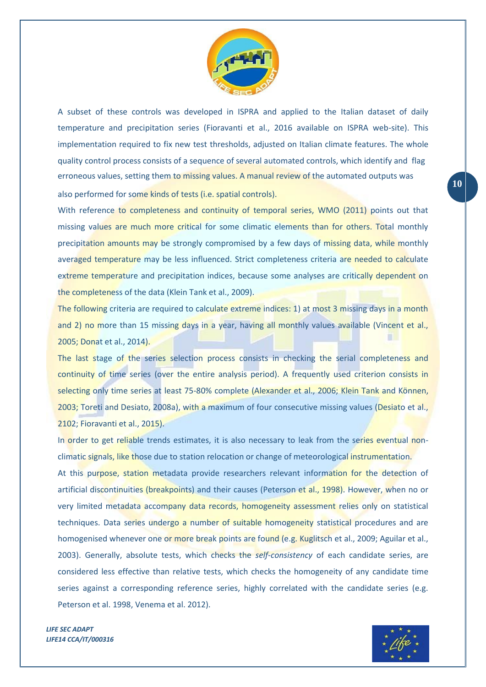

A subset of these controls was developed in ISPRA and applied to the Italian dataset of daily temperature and precipitation series (Fioravanti et al., 2016 available on ISPRA web-site). This implementation required to fix new test thresholds, adjusted on Italian climate features. The whole quality control process consists of a sequence of several automated controls, which identify and flag erroneous values, setting them to missing values. A manual review of the automated outputs was also performed for some kinds of tests (i.e. spatial controls).

With reference to completeness and continuity of temporal series, WMO (2011) points out that missing values are much more critical for some climatic elements than for others. Total monthly precipitation amounts may be strongly compromised by a few days of missing data, while monthly averaged temperature may be less influenced. Strict completeness criteria are needed to calculate extreme temperature and precipitation indices, because some analyses are critically dependent on the completeness of the data (Klein Tank et al., 2009).

The following criteria are required to calculate extreme indices: 1) at most 3 missing days in a month and 2) no more than 15 missing days in a year, having all monthly values available (Vincent et al., 2005; Donat et al., 2014).

The last stage of the series selection process consists in checking the serial completeness and continuity of time series (over the entire analysis period). A frequently used criterion consists in selecting only time series at least 75-80% complete (Alexander et al., 2006; Klein Tank and Können, 2003; Toreti and Desiato, 2008a), with a maximum of four consecutive missing values (Desiato et al., 2102; Fioravanti et al., 2015).

In order to get reliable trends estimates, it is also necessary to leak from the series eventual nonclimatic signals, like those due to station relocation or change of meteorological instrumentation. At this purpose, station metadata provide researchers relevant information for the detection of artificial discontinuities (breakpoints) and their causes (Peterson et al., 1998). However, when no or very limited metadata accompany data records, homogeneity assessment relies only on statistical techniques. Data series undergo a number of suitable homogeneity statistical procedures and are homogenised whenever one or more break points are found (e.g. Kuglitsch et al., 2009; Aguilar et al., 2003). Generally, absolute tests, which checks the *self-consistency* of each candidate series, are considered less effective than relative tests, which checks the homogeneity of any candidate time series against a corresponding reference series, highly correlated with the candidate series (e.g. Peterson et al. 1998, Venema et al. 2012).

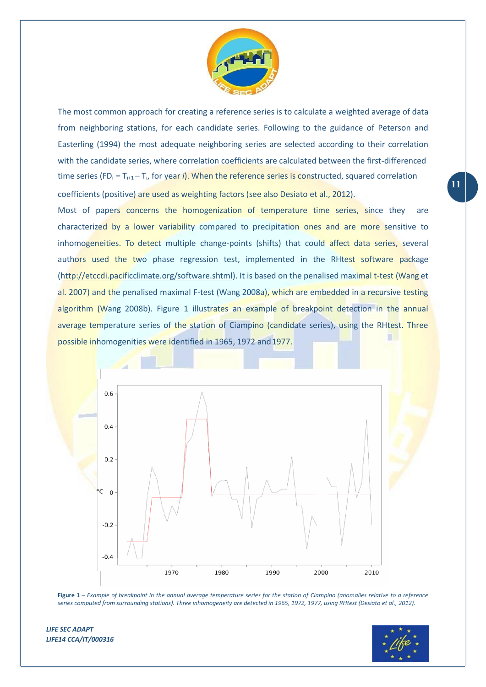

The most common approach for creating a reference series is to calculate a weighted average of data from neighboring stations, for each candidate series. Following to the guidance of Peterson and Easterling (1994) the most adequate neighboring series are selected according to their correlation with the candidate series, where correlation coefficients are calculated between the first-differenced time series (FD<sub>i</sub> =  $T_{i+1} - T_{i}$ , for year *i*). When the reference series is constructed, squared correlation coefficients (positive) are used as weighting factors (see also Desiato et al., 2012).

Most of papers concerns the homogenization of temperature time series, since they are characterized by a lower variability compared to precipitation ones and are more sensitive to inhomogeneities. To detect multiple change-points (shifts) that could affect data series, several authors used the two phase regression test, implemented in the RHtest software package [\(http://etccdi.pacificclimate.org/software.shtml\)](http://etccdi.pacificclimate.org/software.shtml). It is based on the penalised maximal t-test (Wang et al. 2007) and the penalised maximal F-test (Wang 2008a), which are embedded in a recursive testing algorithm (Wang 2008b). Figure 1 illustrates an example of breakpoint detection in the annual average temperature series of the station of Ciampino (candidate series), using the RHtest. Three possible inhomogenities were identified in 1965, 1972 and 1977.





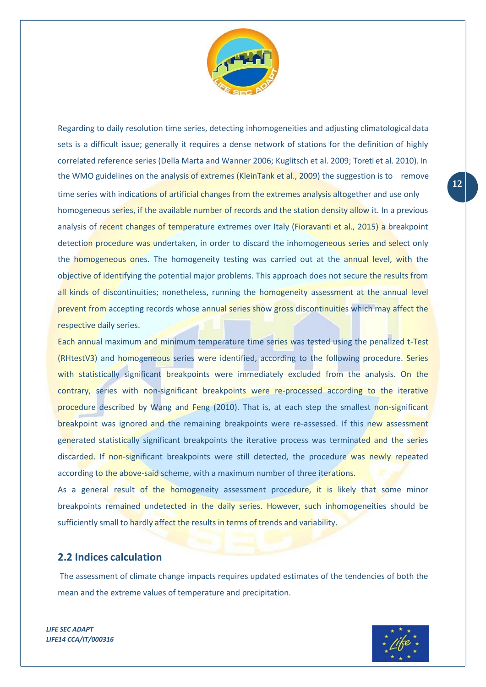

Regarding to daily resolution time series, detecting inhomogeneities and adjusting climatologicaldata sets is a difficult issue; generally it requires a dense network of stations for the definition of highly correlated reference series (Della Marta and Wanner 2006; Kuglitsch et al. 2009; Toreti et al. 2010). In the WMO guidelines on the analysis of extremes (KleinTank et al., 2009) the suggestion is to remove time series with indications of artificial changes from the extremes analysis altogether and use only homogeneous series, if the available number of records and the station density allow it. In a previous analysis of recent changes of temperature extremes over Italy (Fioravanti et al., 2015) a breakpoint detection procedure was undertaken, in order to discard the inhomogeneous series and select only the homogeneous ones. The homogeneity testing was carried out at the annual level, with the objective of identifying the potential major problems. This approach does not secure the results from all kinds of discontinuities; nonetheless, running the homogeneity assessment at the annual level prevent from accepting records whose annual series show gross discontinuities which may affect the respective daily series.

Each annual maximum and minimum temperature time series was tested using the penalized t-Test (RHtestV3) and homogeneous series were identified, according to the following procedure. Series with statistically significant breakpoints were immediately excluded from the analysis. On the contrary, series with non-significant breakpoints were re-processed according to the iterative procedure described by Wang and Feng (2010). That is, at each step the smallest non-significant breakpoint was ignored and the remaining breakpoints were re-assessed. If this new assessment generated statistically significant breakpoints the iterative process was terminated and the series discarded. If non-significant breakpoints were still detected, the procedure was newly repeated according to the above-said scheme, with a maximum number of three iterations.

As a general result of the homogeneity assessment procedure, it is likely that some minor breakpoints remained undetected in the daily series. However, such inhomogeneities should be sufficiently small to hardly affect the results in terms of trends and variability.

#### <span id="page-11-0"></span>**2.2 Indices calculation**

The assessment of climate change impacts requires updated estimates of the tendencies of both the mean and the extreme values of temperature and precipitation.



**12**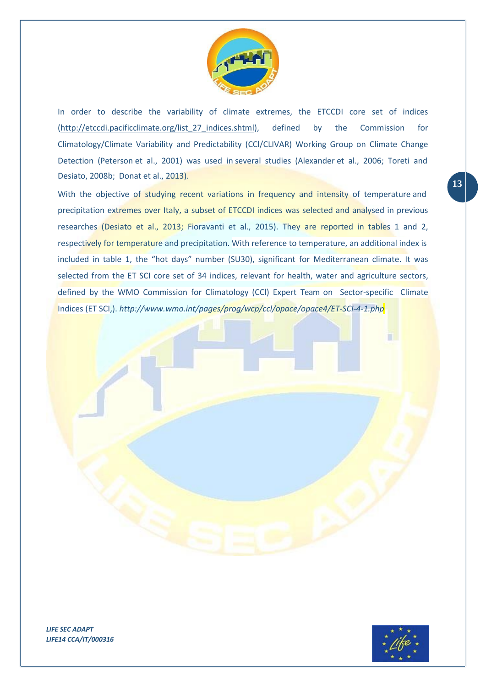

In order to describe the variability of climate extremes, the ETCCDI core set of indices [\(http://etccdi.pacificclimate.org/list\\_27\\_indices.shtml\)](http://etccdi.pacificclimate.org/list_27_indices.shtml), defined by the Commission for Climatology/Climate Variability and Predictability (CCl/CLIVAR) Working Group on Climate Change Detection (Peterson et al., 2001) was used in several studies (Alexander et al., 2006; Toreti and Desiato, 2008b; Donat et al., 2013).

With the objective of studying recent variations in frequency and intensity of temperature and precipitation extremes over Italy, a subset of ETCCDI indices was selected and analysed in previous researches (Desiato et al., 2013; Fioravanti et al., 2015). They are reported in tables 1 and 2, respectively for temperature and precipitation. With reference to temperature, an additional index is included in table 1, the "hot days" number (SU30), significant for Mediterranean climate. It was selected from the ET SCI core set of 34 indices, relevant for health, water and agriculture sectors, defined by the WMO Commission for Climatology (CCl) Expert Team on Sector-specific Climate Indices (ET SCI,). *<http://www.wmo.int/pages/prog/wcp/ccl/opace/opace4/ET-SCI-4-1.php>*

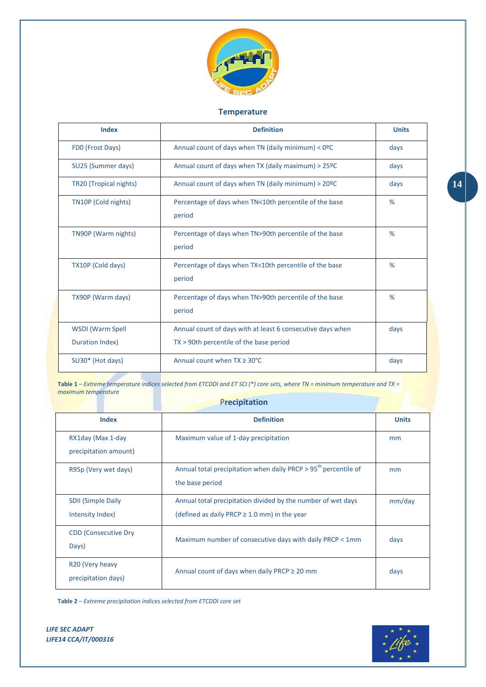

#### **Temperature**

| <b>Index</b>                               | <b>Definition</b>                                                                                     | <b>Units</b> |
|--------------------------------------------|-------------------------------------------------------------------------------------------------------|--------------|
| FDO (Frost Days)                           | Annual count of days when TN (daily minimum) $<$ 0ºC                                                  | days         |
| SU25 (Summer days)                         | Annual count of days when TX (daily maximum) $> 25^{\circ}$ C                                         | days         |
| TR20 (Tropical nights)                     | Annual count of days when TN (daily minimum) > 20ºC                                                   | days         |
| TN10P (Cold nights)                        | Percentage of days when TN<10th percentile of the base<br>period                                      | %            |
| TN90P (Warm nights)                        | Percentage of days when TN>90th percentile of the base<br>period                                      | %            |
| TX10P (Cold days)                          | Percentage of days when TX<10th percentile of the base<br>period                                      | %            |
| TX90P (Warm days)                          | Percentage of days when TN>90th percentile of the base<br>period                                      | %            |
| <b>WSDI</b> (Warm Spell<br>Duration Index) | Annual count of days with at least 6 consecutive days when<br>TX > 90th percentile of the base period | days         |
| SU30* (Hot days)                           | Annual count when $TX \geq 30^{\circ}C$                                                               | days         |

**Table 1** – *Extreme temperature indices selected from ETCDDI and ET SCI (\*) core sets, where TN = minimum temperature and TX = maximum temperature*

#### P**recipitation**

| <b>Index</b>                                       | <b>Definition</b>                                                                                                 | <b>Units</b> |
|----------------------------------------------------|-------------------------------------------------------------------------------------------------------------------|--------------|
| RX1day (Max 1-day<br>precipitation amount)         | Maximum value of 1-day precipitation                                                                              | mm           |
| R95p (Very wet days)                               | Annual total precipitation when daily PRCP > 95 <sup>th</sup> percentile of<br>the base period                    | mm           |
| <b>SDII (Simple Daily</b><br>Intensity Index)      | Annual total precipitation divided by the number of wet days<br>(defined as daily PRCP $\geq$ 1.0 mm) in the year | mm/day       |
| <b>CDD (Consecutive Dry</b><br>Days)               | Maximum number of consecutive days with daily PRCP < 1mm                                                          | days         |
| R <sub>20</sub> (Very heavy<br>precipitation days) | Annual count of days when daily PRCP $\geq$ 20 mm                                                                 | days         |

**Table 2** – *Extreme precipitation indices selected from ETCDDI core set*

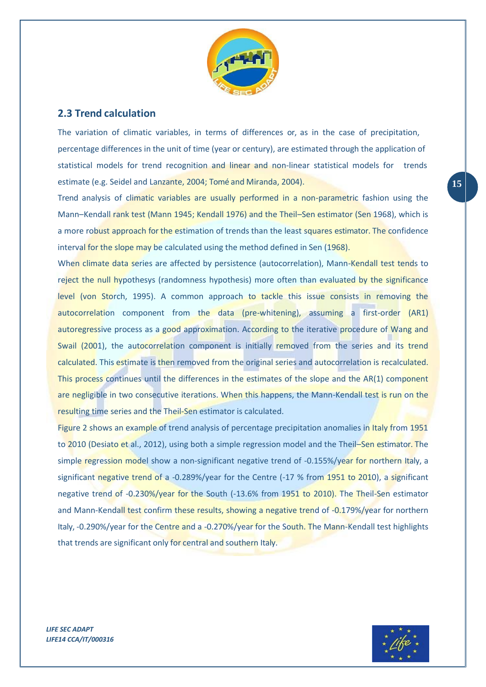

### <span id="page-14-0"></span>**2.3 Trend calculation**

The variation of climatic variables, in terms of differences or, as in the case of precipitation, percentage differences in the unit of time (year or century), are estimated through the application of statistical models for trend recognition and linear and non-linear statistical models for trends estimate (e.g. Seidel and Lanzante, 2004; Tomé and Miranda, 2004). **15**

Trend analysis of climatic variables are usually performed in a non-parametric fashion using the Mann–Kendall rank test (Mann 1945; Kendall 1976) and the Theil–Sen estimator (Sen 1968), which is a more robust approach for the estimation of trends than the least squares estimator. The confidence interval for the slope may be calculated using the method defined in Sen (1968).

When climate data series are affected by persistence (autocorrelation), Mann-Kendall test tends to reject the null hypothesys (randomness hypothesis) more often than evaluated by the significance level (von Storch, 1995). A common approach to tackle this issue consists in removing the autocorrelation component from the data (pre-whitening), assuming a first-order (AR1) autoregressive process as a good approximation. According to the iterative procedure of Wang and Swail (2001), the autocorrelation component is initially removed from the series and its trend calculated. This estimate is then removed from the original series and autocorrelation is recalculated. This process continues until the differences in the estimates of the slope and the AR(1) component are negligible in two consecutive iterations. When this happens, the Mann-Kendall test is run on the resulting time series and the Theil-Sen estimator is calculated.

Figure 2 shows an example of trend analysis of percentage precipitation anomalies in Italy from 1951 to 2010 (Desiato et al., 2012), using both a simple regression model and the Theil-Sen estimator. The simple regression model show a non-significant negative trend of -0.155%/year for northern Italy, a significant negative trend of a -0.289%/year for the Centre (-17 % from 1951 to 2010), a significant negative trend of -0.230%/year for the South (-13.6% from 1951 to 2010). The Theil-Sen estimator and Mann-Kendall test confirm these results, showing a negative trend of -0.179%/year for northern Italy, -0.290%/year for the Centre and a -0.270%/year for the South. The Mann-Kendall test highlights that trends are significant only for central and southern Italy.

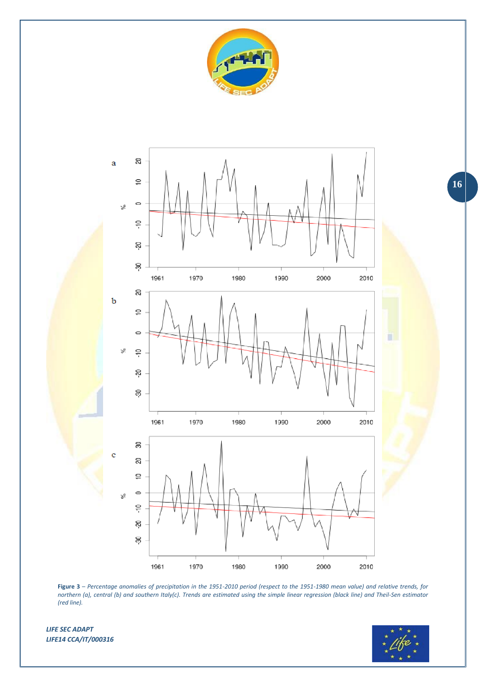



**Figure 3** – *Percentage anomalies of precipitation in the 1951-2010 period (respect to the 1951-1980 mean value) and relative trends, for northern (a), central (b) and southern Italy(c). Trends are estimated using the simple linear regression (black line) and Theil-Sen estimator (red line).*

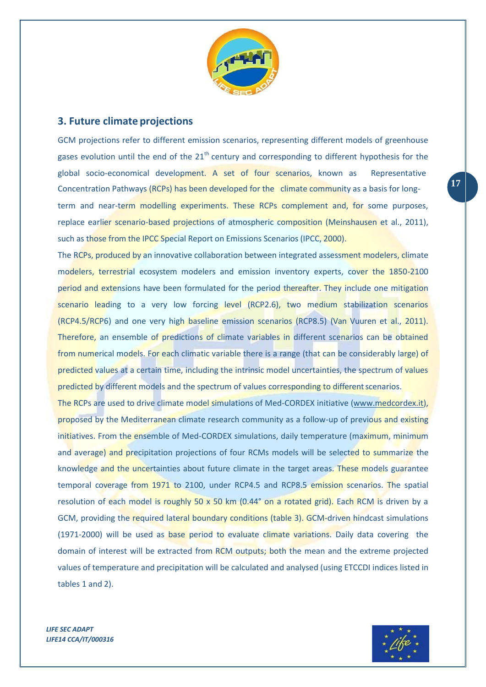

#### <span id="page-16-0"></span>**3. Future climate projections**

GCM projections refer to different emission scenarios, representing different models of greenhouse gases evolution until the end of the  $21<sup>th</sup>$  century and corresponding to different hypothesis for the global socio-economical development. A set of four scenarios, known as Representative Concentration Pathways (RCPs) has been developed for the climate community as a basis for longterm and near-term modelling experiments. These RCPs complement and, for some purposes, replace earlier scenario-based projections of atmospheric composition (Meinshausen et al., 2011), such as those from the IPCC Special Report on Emissions Scenarios (IPCC, 2000).

The RCPs, produced by an innovative collaboration between integrated assessment modelers, climate modelers, terrestrial ecosystem modelers and emission inventory experts, cover the 1850-2100 period and extensions have been formulated for the period thereafter. They include one mitigation scenario leading to a very low forcing level (RCP2.6), two medium stabilization scenarios (RCP4.5/RCP6) and one very high baseline emission scenarios (RCP8.5) (Van Vuuren et al., 2011). Therefore, an ensemble of predictions of climate variables in different scenarios can be obtained from numerical models. For each climatic variable there is a range (that can be considerably large) of predicted values at a certain time, including the intrinsic model uncertainties, the spectrum of values predicted by different models and the spectrum of values corresponding to different scenarios.

The RCPs are used to drive climate model simulations of Med-CORDEX initiative [\(www.medcordex.it\)](http://www.medcordex.it/), proposed by the Mediterranean climate research community as a follow-up of previous and existing initiatives. From the ensemble of Med-CORDEX simulations, daily temperature (maximum, minimum and average) and precipitation projections of four RCMs models will be selected to summarize the knowledge and the uncertainties about future climate in the target areas. These models guarantee temporal coverage from 1971 to 2100, under RCP4.5 and RCP8.5 emission scenarios. The spatial resolution of each model is roughly 50 x 50 km (0.44° on a rotated grid). Each RCM is driven by a GCM, providing the required lateral boundary conditions (table 3). GCM-driven hindcast simulations (1971-2000) will be used as base period to evaluate climate variations. Daily data covering the domain of interest will be extracted from RCM outputs; both the mean and the extreme projected values of temperature and precipitation will be calculated and analysed (using ETCCDI indices listed in tables 1 and 2).

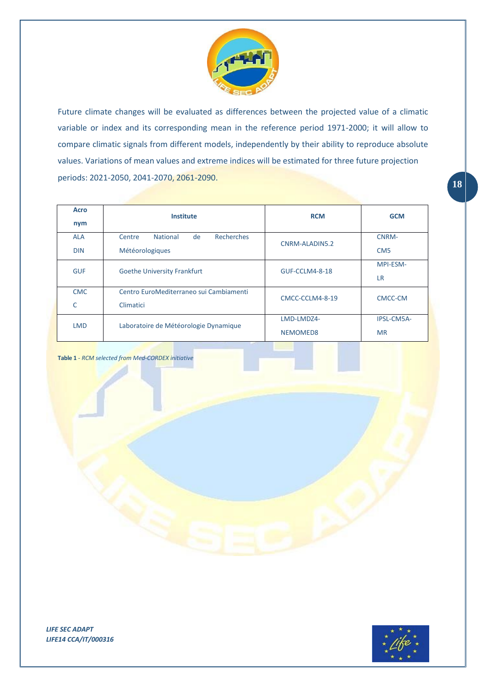

periods: 2021-2050, 2041-2070, 2061-2090. Future climate changes will be evaluated as differences between the projected value of a climatic variable or index and its corresponding mean in the reference period 1971-2000; it will allow to compare climatic signals from different models, independently by their ability to reproduce absolute values. Variations of mean values and extreme indices will be estimated for three future projection

| <b>Acro</b><br>nym       | <b>Institute</b>                                                 | <b>RCM</b>             | <b>GCM</b>                   |
|--------------------------|------------------------------------------------------------------|------------------------|------------------------------|
| <b>ALA</b><br><b>DIN</b> | Recherches<br><b>National</b><br>de<br>Centre<br>Météorologiques | CNRM-ALADIN5.2         | CNRM-<br>CM <sub>5</sub>     |
| <b>GUF</b>               | <b>Goethe University Frankfurt</b>                               | GUF-CCLM4-8-18         | <b>MPI-ESM-</b><br><b>LR</b> |
| <b>CMC</b><br>C          | Centro EuroMediterraneo sui Cambiamenti<br>Climatici             | CMCC-CCLM4-8-19        | CMCC-CM                      |
| <b>LMD</b>               | Laboratoire de Météorologie Dynamique                            | LMD-LMDZ4-<br>NEMOMED8 | IPSL-CM5A-<br><b>MR</b>      |

**Table 1** *- RCM selected from Med-CORDEX initiative*

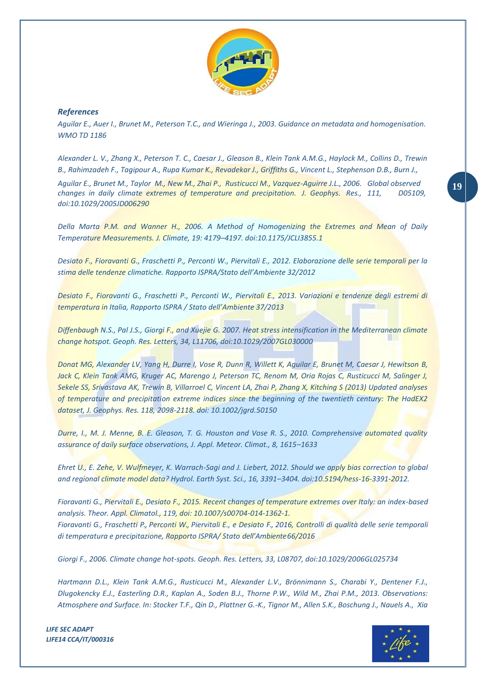

#### *References*

*Aguilar E., Auer I., Brunet M., Peterson T.C., and Wieringa J., 2003. Guidance on metadata and homogenisation. WMO TD 1186*

*Alexander L. V., Zhang X., Peterson T. C., Caesar J., Gleason B., Klein Tank A.M.G., Haylock M., Collins D., Trewin B., Rahimzadeh F., Tagipour A., Rupa Kumar K., Revadekar J., Griffiths G., Vincent L., Stephenson D.B., Burn J., Aguilar E., Brunet M., Taylor M., New M., Zhai P., Rusticucci M., Vazquez-Aguirre J.L., 2006. Global observed* **19** *changes in daily climate extremes of temperature and precipitation. J. Geophys. Res., 111, doi:10.1029/2005JD006290*

*Della Marta P.M. and Wanner H., 2006. A Method of Homogenizing the Extremes and Mean of Daily Temperature Measurements. J. Climate, 19: 4179–4197. doi:10.1175/JCLI3855.1*

*Desiato F., Fioravanti G., Fraschetti P., Perconti W., Piervitali E., 2012. Elaborazione delle serie temporali per la stima delle tendenze climatiche. Rapporto ISPRA/Stato dell'Ambiente 32/2012*

*Desiato F., Fioravanti G., Fraschetti P., Perconti W., Piervitali E., 2013. Variazioni e tendenze degli estremi di temperatura in Italia, Rapporto ISPRA / Stato dell'Ambiente 37/2013*

*Diffenbaugh N.S., Pal J.S., Giorgi F., and Xuejie G. 2007. Heat stress intensification in the Mediterranean climate change hotspot. Geoph. Res. Letters, 34, L11706, doi:10.1029/2007GL030000*

*Donat MG, Alexander LV, Yang H, Durre I, Vose R, Dunn R, Willett K, Aguilar E, Brunet M, Caesar J, Hewitson B, Jack C, Klein Tank AMG, Kruger AC, Marengo J, Peterson TC, Renom M, Oria Rojas C, Rusticucci M, Salinger J, Sekele SS, Srivastava AK, Trewin B, Villarroel C, Vincent LA, Zhai P, Zhang X, Kitching S (2013) Updated analyses of temperature and precipitation extreme indices since the beginning of the twentieth century: The HadEX2 dataset, J. Geophys. Res. 118, 2098-2118. doi: 10.1002/jgrd.50150*

*Durre, I., M. J. Menne, B. E. Gleason, T. G. Houston and Vose R. S., 2010. Comprehensive automated quality assurance of daily surface observations, J. Appl. Meteor. Climat., 8, 1615–1633*

*Ehret U., E. Zehe, V. Wulfmeyer, K. Warrach-Sagi and J. Liebert, 2012. Should we apply bias correction to global and regional climate model data? Hydrol. Earth Syst. Sci., 16, 3391–3404. doi:10.5194/hess-16-3391-2012.*

*Fioravanti G., Piervitali E., Desiato F., 2015. Recent changes of temperature extremes over Italy: an index-based analysis. Theor. Appl. Climatol., 119, doi: 10.1007/s00704-014-1362-1. Fioravanti G., Fraschetti P., Perconti W., Piervitali E., e Desiato F., 2016, Controlli di qualità delle serie temporali* 

*Giorgi F., 2006. Climate change hot-spots. Geoph. Res. Letters, 33, L08707, doi:10.1029/2006GL025734*

*di temperatura e precipitazione, Rapporto ISPRA/ Stato dell'Ambiente66/2016*

*Hartmann D.L., Klein Tank A.M.G., Rusticucci M., Alexander L.V., Brönnimann S., Charabi Y., Dentener F.J., Dlugokencky E.J., Easterling D.R., Kaplan A., Soden B.J., Thorne P.W., Wild M., Zhai P.M., 2013. Observations: Atmosphere and Surface. In: Stocker T.F., Qin D., Plattner G.-K., Tignor M., Allen S.K., Boschung J., Nauels A., Xia*

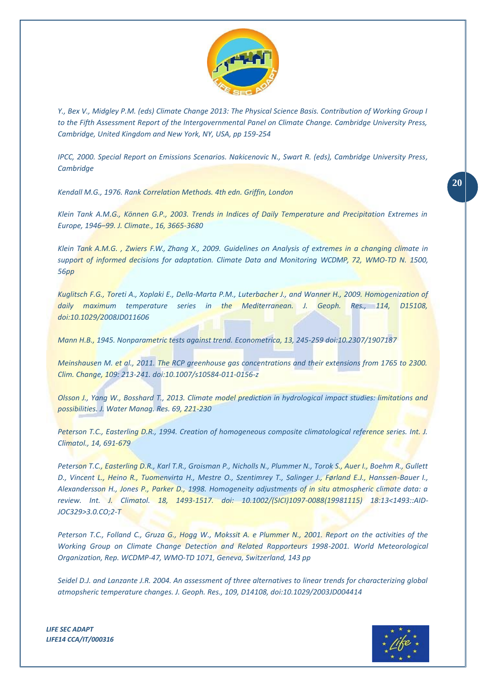

*Y., Bex V., Midgley P.M. (eds) Climate Change 2013: The Physical Science Basis. Contribution of Working Group I to the Fifth Assessment Report of the Intergovernmental Panel on Climate Change. Cambridge University Press, Cambridge, United Kingdom and New York, NY, USA, pp 159-254*

*IPCC, 2000. Special Report on Emissions Scenarios. Nakicenovic N., Swart R. (eds), Cambridge University Press, Cambridge*

*Kendall M.G., 1976. Rank Correlation Methods. 4th edn. Griffin, London*

*Klein Tank A.M.G., Können G.P., 2003. Trends in Indices of Daily Temperature and Precipitation Extremes in Europe, 1946–99. J. Climate., 16, 3665-3680*

*Klein Tank A.M.G. , Zwiers F.W., Zhang X., 2009. Guidelines on Analysis of extremes in a changing climate in support of informed decisions for adaptation. Climate Data and Monitoring WCDMP, 72, WMO-TD N. 1500, 56pp*

*Kuglitsch F.G., Toreti A., Xoplaki E., Della-Marta P.M., Luterbacher J., and Wanner H., 2009. Homogenization of daily maximum temperature series in the Mediterranean. J. Geoph. Res., 114, D15108, doi:10.1029/2008JD011606*

*Mann H.B., 1945. Nonparametric tests against trend. Econometrica, 13, 245-259 doi:10.2307/1907187*

*Meinshausen M. et al., 2011. The RCP greenhouse gas concentrations and their extensions from 1765 to 2300. Clim. Change, 109: 213-241. doi:10.1007/s10584-011-0156-z*

*Olsson J., Yang W., Bosshard T., 2013. Climate model prediction in hydrological impact studies: limitations and possibilities. J. Water Manag. Res. 69, 221-230*

*Peterson T.C., Easterling D.R., 1994. Creation of homogeneous composite climatological reference series. Int. J. Climatol., 14, 691-679*

*Peterson T.C., Easterling D.R., Karl T.R., Groisman P., Nicholls N., Plummer N., Torok S., Auer I., Boehm R., Gullett D., Vincent L., Heino R., Tuomenvirta H., Mestre O., Szentimrey T., Salinger J., Førland E.J., Hanssen-Bauer I., Alexandersson H., Jones P., Parker D., 1998. Homogeneity adjustments of in situ atmospheric climate data: a review. Int. J. Climatol. 18, 1493-1517. doi: 10.1002/(SICI)1097-0088(19981115) 18:13<1493::AID-JOC329>3.0.CO;2-T*

*Peterson T.C., Folland C., Gruza G., Hogg W., Mokssit A. e Plummer N., 2001. Report on the activities of the Working Group on Climate Change Detection and Related Rapporteurs 1998-2001. World Meteorological Organization, Rep. WCDMP-47, WMO-TD 1071, Geneva, Switzerland, 143 pp*

*Seidel D.J. and Lanzante J.R. 2004. An assessment of three alternatives to linear trends for characterizing global atmopsheric temperature changes. J. Geoph. Res., 109, D14108, doi:10.1029/2003JD004414*

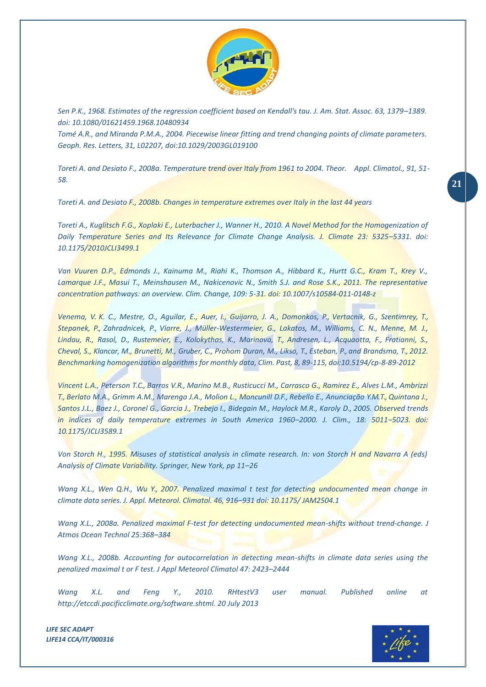

*Sen P.K., 1968. Estimates of the regression coefficient based on Kendall's tau. J. Am. Stat. Assoc. 63, 1379–1389. doi: 10.1080/01621459.1968.10480934*

*Tomé A.R., and Miranda P.M.A., 2004. Piecewise linear fitting and trend changing points of climate parameters. Geoph. Res. Letters, 31, L02207, doi:10.1029/2003GL019100*

*Toreti A. and Desiato F., 2008a. Temperature trend over Italy from 1961 to 2004. Theor. Appl. Climatol., 91, 51- 58.* **21**

*Toreti A. and Desiato F., 2008b. Changes in temperature extremes over Italy in the last 44 years*

*Toreti A., Kuglitsch F.G., Xoplaki E., Luterbacher J., Wanner H., 2010. A Novel Method for the Homogenization of Daily Temperature Series and Its Relevance for Climate Change Analysis. J. Climate 23: 5325–5331. doi: 10.1175/2010JCLI3499.1*

*Van Vuuren D.P., Edmonds J., Kainuma M., Riahi K., Thomson A., Hibbard K., Hurtt G.C., Kram T., Krey V.,*  Lamarque J.F., Masui T., Meinshausen M., Nakicenovic N., Smith S.J. and Rose S.K., 2011. The representative *concentration pathways: an overview. Clim. Change, 109: 5-31. doi: 10.1007/s10584-011-0148-z*

*Venema, V. K. C., Mestre, O., Aguilar, E., Auer, I., Guijarro, J. A., Domonkos, P., Vertacnik, G., Szentimrey, T., Stepanek, P., Zahradnicek, P., Viarre, J., Müller-Westermeier, G., Lakatos, M., Williams, C. N., Menne, M. J., Lindau, R., Rasol, D., Rustemeier, E., Kolokythas, K., Marinova, T., Andresen, L., Acquaotta, F., Fratianni, S., Cheval, S., Klancar, M., Brunetti, M., Gruber, C., Prohom Duran, M., Likso, T., Esteban, P., and Brandsma, T., 2012. Benchmarking homogenization algorithmsfor monthly data, Clim. Past, 8, 89-115, doi:10.5194/cp-8-89-2012*

*Vincent L.A., Peterson T.C., Barros V.R., Marino M.B., Rusticucci M., Carrasco G., Ramirez E., Alves L.M., Ambrizzi T., Berlato M.A., Grimm A.M., Marengo J.A., Molion L., Moncunill D.F., Rebello E., Anunciação Y.M.T., Quintana J., Santos J.L., Baez J., Coronel G., Garcia J., Trebejo I., Bidegain M., Haylock M.R., Karoly D., 2005. Observed trends in indices of daily temperature extremes in South America 1960–2000. J. Clim., 18: 5011–5023. doi: 10.1175/JCLI3589.1*

*Von Storch H., 1995. Misuses of statistical analysis in climate research. In: von Storch H and Navarra A (eds) Analysis of Climate Variability. Springer, New York, pp 11–26*

*Wang X.L., Wen Q.H., Wu Y., 2007. Penalized maximal t test for detecting undocumented mean change in climate data series. J. Appl. Meteorol. Climatol. 46, 916–931 doi: 10.1175/ JAM2504.1*

*Wang X.L., 2008a. Penalized maximal F-test for detecting undocumented mean-shifts without trend-change. J Atmos Ocean Technol 25:368–384*

*Wang X.L., 2008b. Accounting for autocorrelation in detecting mean-shifts in climate data series using the penalized maximal t or F test. J Appl Meteorol Climatol 47: 2423–2444*

*Wang X.L. and Feng Y., 2010. RHtestV3 user manual. Published online at [http://etccdi.pacificclimate.org/software.shtml. 20 July 2013](http://etccdi.pacificclimate.org/software.shtml.%2020%20July%202013)*